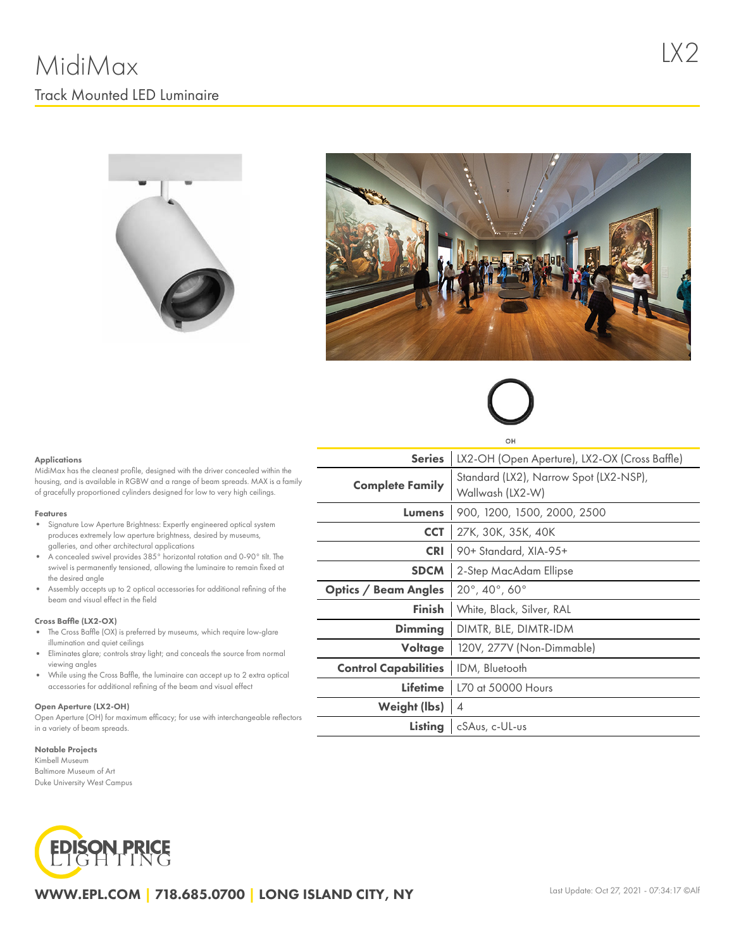



# OH

#### **Applications**

MidiMax has the cleanest profile, designed with the driver concealed within the housing, and is available in RGBW and a range of beam spreads. MAX is a family of gracefully proportioned cylinders designed for low to very high ceilings.

#### Features

- Signature Low Aperture Brightness: Expertly engineered optical system produces extremely low aperture brightness, desired by museums, galleries, and other architectural applications
- $\bullet$ A concealed swivel provides 385° horizontal rotation and 0-90° tilt. The swivel is permanently tensioned, allowing the luminaire to remain fixed at the desired angle
- Assembly accepts up to 2 optical accessories for additional refining of the beam and visual effect in the field

#### Cross Baffle (LX2-OX)

- The Cross Baffle (OX) is preferred by museums, which require low-glare illumination and quiet ceilings
- Eliminates glare; controls stray light; and conceals the source from normal viewing angles
- While using the Cross Baffle, the luminaire can accept up to 2 extra optical accessories for additional refining of the beam and visual effect

#### Open Aperture (LX2-OH)

Open Aperture (OH) for maximum efficacy; for use with interchangeable reflectors in a variety of beam spreads.

#### Notable Projects

Kimbell Museum Baltimore Museum of Art Duke University West Campus

## **EDISON PRICE**

| <b>Series</b>               | LX2-OH (Open Aperture), LX2-OX (Cross Baffle)              |  |  |  |  |  |
|-----------------------------|------------------------------------------------------------|--|--|--|--|--|
| <b>Complete Family</b>      | Standard (LX2), Narrow Spot (LX2-NSP),<br>Wallwash (LX2-W) |  |  |  |  |  |
| Lumens                      | 900, 1200, 1500, 2000, 2500                                |  |  |  |  |  |
| <b>CCT</b>                  | 27K, 30K, 35K, 40K                                         |  |  |  |  |  |
| <b>CRI</b>                  | 90+ Standard, XIA-95+                                      |  |  |  |  |  |
| <b>SDCM</b>                 | 2-Step MacAdam Ellipse                                     |  |  |  |  |  |
| <b>Optics / Beam Angles</b> | $20^{\circ}$ , 40 $^{\circ}$ , 60 $^{\circ}$               |  |  |  |  |  |
| <b>Finish</b>               | White, Black, Silver, RAL                                  |  |  |  |  |  |
| Dimming                     | DIMTR, BLE, DIMTR-IDM                                      |  |  |  |  |  |
| Voltage                     | 120V, 277V (Non-Dimmable)                                  |  |  |  |  |  |
| <b>Control Capabilities</b> | IDM, Bluetooth                                             |  |  |  |  |  |
| Lifetime                    | L70 at 50000 Hours                                         |  |  |  |  |  |
| Weight (lbs)                | 4                                                          |  |  |  |  |  |
| Listing                     | cSAus, c-UL-us                                             |  |  |  |  |  |
|                             |                                                            |  |  |  |  |  |

WWW.EPL.COM | 718.685.0700 | LONG ISLAND CITY, NY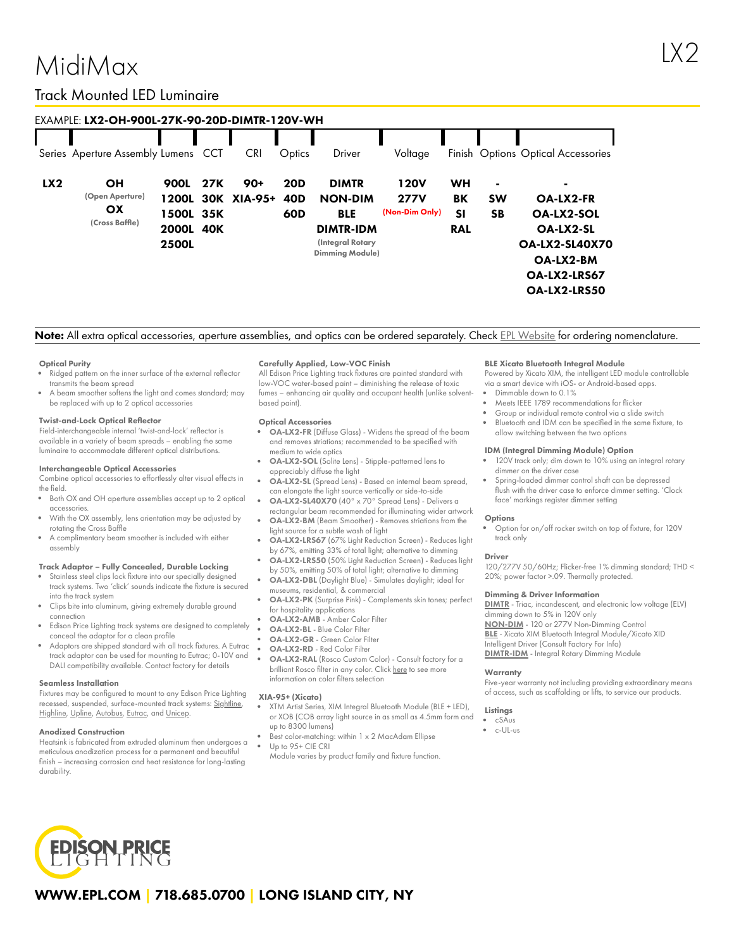### MidiMax

#### Track Mounted LED Luminaire

| EXAMPLE: LX2-OH-900L-27K-90-20D-DIMTR-120V-WH |                                                      |                                                         |     |                    |                                                  |                                                                                                                |                                       |                                     |                                          |                                                                                                                                             |  |  |
|-----------------------------------------------|------------------------------------------------------|---------------------------------------------------------|-----|--------------------|--------------------------------------------------|----------------------------------------------------------------------------------------------------------------|---------------------------------------|-------------------------------------|------------------------------------------|---------------------------------------------------------------------------------------------------------------------------------------------|--|--|
|                                               | Series Aperture Assembly Lumens CCT                  |                                                         |     | <b>CRI</b>         | Optics                                           | Driver                                                                                                         | Voltage                               |                                     |                                          | Finish Options Optical Accessories                                                                                                          |  |  |
| LX2                                           | <b>OH</b><br>(Open Aperture)<br>OX<br>(Cross Baffle) | 900L<br>1200L<br>1500L 35K<br>2000L 40K<br><b>2500L</b> | 27K | 90+<br>30K XIA-95+ | <b>20D</b><br>40 <sub>D</sub><br>60 <sub>D</sub> | <b>DIMTR</b><br><b>NON-DIM</b><br><b>BLE</b><br><b>DIMTR-IDM</b><br>(Integral Rotary<br><b>Dimming Module)</b> | 120V<br><b>277V</b><br>(Non-Dim Only) | WH<br>BK<br><b>SI</b><br><b>RAL</b> | $\blacksquare$<br><b>SW</b><br><b>SB</b> | ۰<br><b>OA-LX2-FR</b><br><b>OA-LX2-SOL</b><br><b>OA-LX2-SL</b><br><b>OA-LX2-SL40X70</b><br>OA-LX2-BM<br>OA-LX2-LRS67<br><b>OA-LX2-LRS50</b> |  |  |

Note: All extra optical accessories, aperture assemblies, and optics can be ordered separately. Check EPL [Website](https://www.epl.com/) for ordering nomenclature.

#### Optical Purity

- Ridged pattern on the inner surface of the external reflector transmits the beam spread
- A beam smoother softens the light and comes standard; may be replaced with up to 2 optical accessories

#### Twist-and-Lock Optical Reflector

Field-interchangeable internal 'twist-and-lock' reflector is available in a variety of beam spreads – enabling the same luminaire to accommodate different optical distributions.

#### Interchangeable Optical Accessories

Combine optical accessories to effortlessly alter visual effects in the field.

- $\bullet$ Both OX and OH aperture assemblies accept up to 2 optical accessories.
- With the OX assembly, lens orientation may be adjusted by rotating the Cross Baffle
- A complimentary beam smoother is included with either assembly

#### Track Adaptor – Fully Concealed, Durable Locking

- Stainless steel clips lock fixture into our specially designed track systems. Two 'click' sounds indicate the fixture is secured into the track system
- Clips bite into aluminum, giving extremely durable ground connection
- Edison Price Lighting track systems are designed to completely conceal the adaptor for a clean profile
- Adaptors are shipped standard with all track fixtures. A Eutrac track adaptor can be used for mounting to Eutrac; 0-10V and DALI compatibility available. Contact factory for details

#### Seamless Installation

Fixtures may be configured to mount to any Edison Price Lighting recessed, suspended, surface-mounted track systems: [Sightline,](https://epl.com/sightline/) [Highline](https://epl.com/highline/), [Upline](https://epl.com/upline/), [Autobus,](https://epl.com/autobus/) [Eutrac,](https://eutrac.de/product/2surface-track-bus/?lang=en) and [Unicep.](https://epl.com/unicep/)

#### Anodized Construction

Heatsink is fabricated from extruded aluminum then undergoes a meticulous anodization process for a permanent and beautiful finish – increasing corrosion and heat resistance for long-lasting durability.

#### Carefully Applied, Low-VOC Finish

All Edison Price Lighting track fixtures are painted standard with low-VOC water-based paint – diminishing the release of toxic fumes – enhancing air quality and occupant health (unlike solventbased paint).

#### Optical Accessories

- OA-LX2-FR (Diffuse Glass) Widens the spread of the beam and removes striations; recommended to be specified with medium to wide optics
- OA-LX2-SOL (Solite Lens) Stipple-patterned lens to appreciably diffuse the light
- OA-LX2-SL (Spread Lens) Based on internal beam spread, can elongate the light source vertically or side-to-side
- OA-LX2-SL40X70 (40° x 70° Spread Lens) Delivers a rectangular beam recommended for illuminating wider artwork
- OA-LX2-BM (Beam Smoother) Removes striations from the light source for a subtle wash of light
- OA-LX2-LRS67 (67% Light Reduction Screen) Reduces light by 67%, emitting 33% of total light; alternative to dimming
- OA-LX2-LRS50 (50% Light Reduction Screen) Reduces light by 50%, emitting 50% of total light; alternative to dimming
- OA-LX2-DBL (Daylight Blue) Simulates daylight; ideal for museums, residential, & commercial
- OA-LX2-PK (Surprise Pink) Complements skin tones; perfect for hospitality applications
- OA-LX2-AMB Amber Color Filter
- OA-LX2-BL Blue Color Filter
- OA-LX2-GR Green Color Filter
- OA-LX2-RD Red Color Filter OA-LX2-RAL (Rosco Custom Color) - Consult factory for a brilliant Rosco filter in any color. Click [here](https://us.rosco.com/en/products/catalog/roscolux) to see more information on color filters selection

#### XIA-95+ (Xicato)

- XTM Artist Series, XIM Integral Bluetooth Module (BLE + LED), or XOB (COB array light source in as small as 4.5mm form and up to 8300 lumens)
- Best color-matching: within 1 x 2 MacAdam Ellipse Up to 95+ CIE CRI

Module varies by product family and fixture function.

#### BLE Xicato Bluetooth Integral Module

Powered by Xicato XIM, the intelligent LED module controllable via a smart device with iOS- or Android-based apps.

- Dimmable down to 0.1%
- Meets IEEE 1789 recommendations for flicker
- Group or individual remote control via a slide switch Bluetooth and IDM can be specified in the same fixture, to
- allow switching between the two options

#### IDM (Integral Dimming Module) Option

- 120V track only; dim down to 10% using an integral rotary dimmer on the driver case
- Spring-loaded dimmer control shaft can be depressed flush with the driver case to enforce dimmer setting. 'Clock face' markings register dimmer setting

#### **Options**

Option for on/off rocker switch on top of fixture, for 120V track only

#### Driver

120/277V 50/60Hz; Flicker-free 1% dimming standard; THD < 20%; power factor >.09. Thermally protected.

#### Dimming & Driver Information

[DIMTR](http://epl.com/media/driver/dimtr.pdf) - Triac, incandescent, and electronic low voltage (ELV) dimming down to 5% in 120V only [NON-DIM](http://epl.com/media/driver/non-dim.pdf) - 120 or 277V Non-Dimming Control [BLE](http://epl.com/media/driver/ble.pdf) - Xicato XIM Bluetooth Integral Module/Xicato XID Intelligent Driver (Consult Factory For Info) [DIMTR-IDM](http://epl.com/media/driver/dimtr-idm.pdf) - Integral Rotary Dimming Module

#### **Warranty**

Five-year warranty not including providing extraordinary means of access, such as scaffolding or lifts, to service our products.

#### Listings

- cSAus
- c-UL-us



#### WWW.EPL.COM | 718.685.0700 | LONG ISLAND CITY, NY